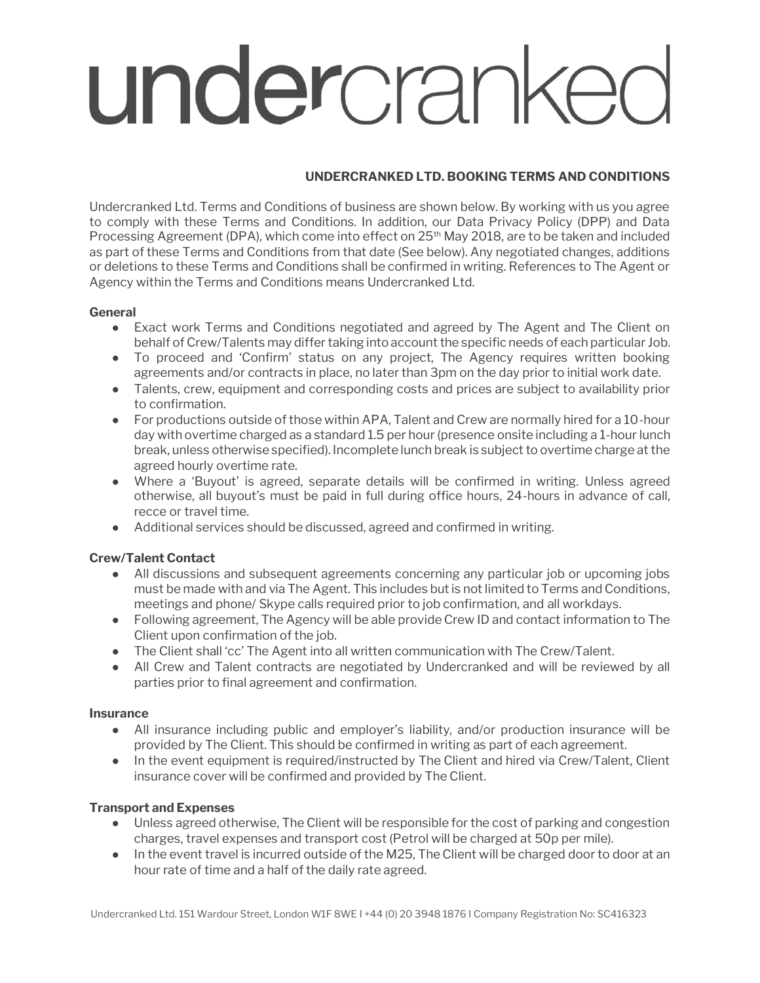# undercranke

# **UNDERCRANKED LTD. BOOKING TERMS AND CONDITIONS**

Undercranked Ltd. Terms and Conditions of business are shown below. By working with us you agree to comply with these Terms and Conditions. In addition, our Data Privacy Policy (DPP) and Data Processing Agreement (DPA), which come into effect on 25<sup>th</sup> May 2018, are to be taken and included as part of these Terms and Conditions from that date (See below). Any negotiated changes, additions or deletions to these Terms and Conditions shall be confirmed in writing. References to The Agent or Agency within the Terms and Conditions means Undercranked Ltd.

## **General**

- Exact work Terms and Conditions negotiated and agreed by The Agent and The Client on behalf of Crew/Talents may differ taking into account the specific needs of each particular Job.
- To proceed and 'Confirm' status on any project, The Agency requires written booking agreements and/or contracts in place, no later than 3pm on the day prior to initial work date.
- Talents, crew, equipment and corresponding costs and prices are subject to availability prior to confirmation.
- For productions outside of those within APA, Talent and Crew are normally hired for a 10-hour day with overtime charged as a standard 1.5 per hour (presence onsite including a 1-hour lunch break, unless otherwise specified). Incomplete lunch break is subject to overtime charge at the agreed hourly overtime rate.
- Where a 'Buyout' is agreed, separate details will be confirmed in writing. Unless agreed otherwise, all buyout's must be paid in full during office hours, 24-hours in advance of call, recce or travel time.
- Additional services should be discussed, agreed and confirmed in writing.

# **Crew/Talent Contact**

- All discussions and subsequent agreements concerning any particular job or upcoming jobs must be made with and via The Agent. This includes but is not limited to Terms and Conditions, meetings and phone/ Skype calls required prior to job confirmation, and all workdays.
- Following agreement, The Agency will be able provide Crew ID and contact information to The Client upon confirmation of the job.
- The Client shall 'cc' The Agent into all written communication with The Crew/Talent.
- All Crew and Talent contracts are negotiated by Undercranked and will be reviewed by all parties prior to final agreement and confirmation.

## **Insurance**

- All insurance including public and employer's liability, and/or production insurance will be provided by The Client. This should be confirmed in writing as part of each agreement.
- In the event equipment is required/instructed by The Client and hired via Crew/Talent, Client insurance cover will be confirmed and provided by The Client.

# **Transport and Expenses**

- Unless agreed otherwise, The Client will be responsible for the cost of parking and congestion charges, travel expenses and transport cost (Petrol will be charged at 50p per mile).
- In the event travel is incurred outside of the M25, The Client will be charged door to door at an hour rate of time and a half of the daily rate agreed.